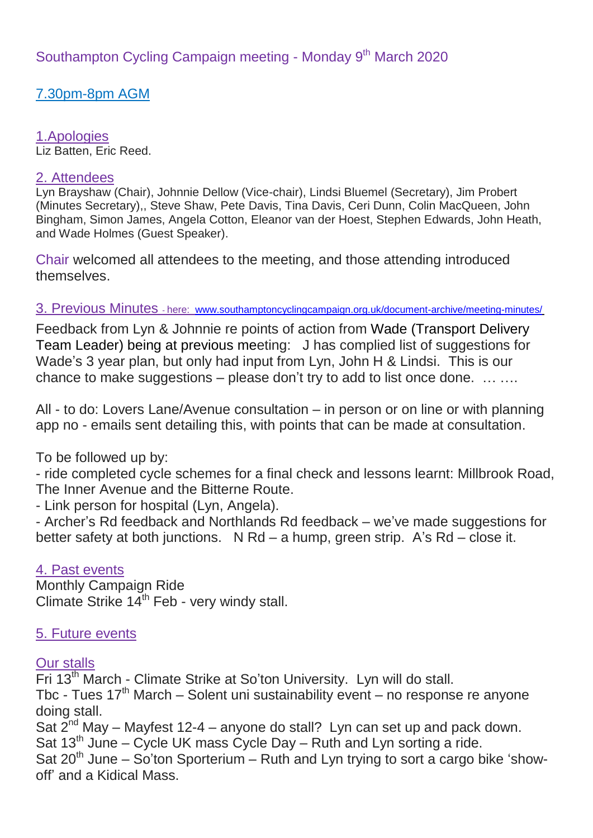7.30pm-8pm AGM

## 1.Apologies

Liz Batten, Eric Reed.

#### 2. Attendees

Lyn Brayshaw (Chair), Johnnie Dellow (Vice-chair), Lindsi Bluemel (Secretary), Jim Probert (Minutes Secretary),, Steve Shaw, Pete Davis, Tina Davis, Ceri Dunn, Colin MacQueen, John Bingham, Simon James, Angela Cotton, Eleanor van der Hoest, Stephen Edwards, John Heath, and Wade Holmes (Guest Speaker).

Chair welcomed all attendees to the meeting, and those attending introduced themselves.

#### 3. Previous Minutes - here: [www.southamptoncyclingcampaign.org.uk/document-archive/meeting-minutes/](http://www.southamptoncyclingcampaign.org.uk/document-archive/meeting-minutes/)

Feedback from Lyn & Johnnie re points of action from Wade (Transport Delivery Team Leader) being at previous meeting: J has complied list of suggestions for Wade's 3 year plan, but only had input from Lyn, John H & Lindsi. This is our chance to make suggestions – please don't try to add to list once done. … ….

All - to do: Lovers Lane/Avenue consultation – in person or on line or with planning app no - emails sent detailing this, with points that can be made at consultation.

To be followed up by:

- ride completed cycle schemes for a final check and lessons learnt: Millbrook Road, The Inner Avenue and the Bitterne Route.

- Link person for hospital (Lyn, Angela).

- Archer's Rd feedback and Northlands Rd feedback – we've made suggestions for better safety at both junctions. N Rd – a hump, green strip. A's Rd – close it.

### 4. Past events

Monthly Campaign Ride Climate Strike 14<sup>th</sup> Feb - very windy stall.

#### 5. Future events

#### **Our stalls**

Fri 13<sup>th</sup> March - Climate Strike at So'ton University. Lyn will do stall. Tbc - Tues  $17<sup>th</sup>$  March – Solent uni sustainability event – no response re anyone doing stall. Sat  $2^{nd}$  May – Mayfest 12-4 – anyone do stall? Lyn can set up and pack down. Sat 13<sup>th</sup> June – Cycle UK mass Cycle Day – Ruth and Lyn sorting a ride. Sat  $20^{th}$  June – So'ton Sporterium – Ruth and Lyn trying to sort a cargo bike 'showoff' and a Kidical Mass.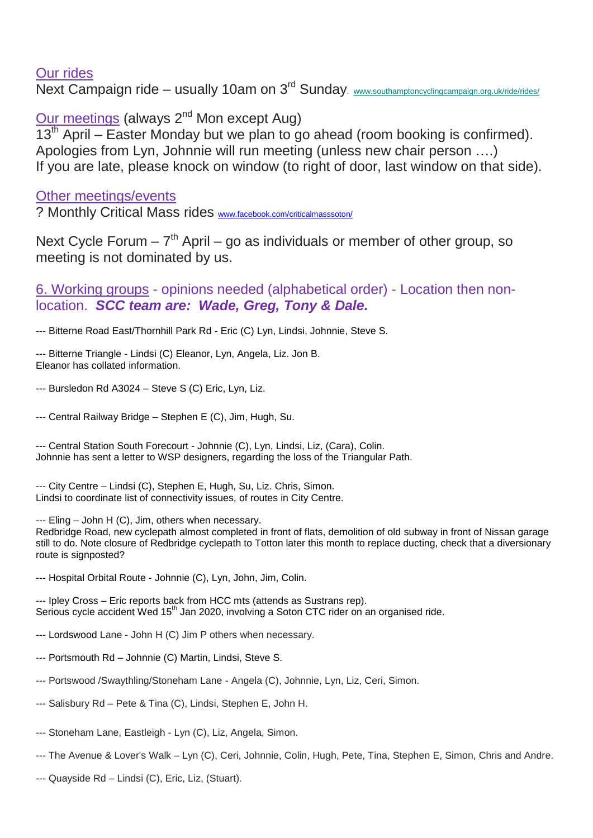### Our rides

Next Campaign ride – usually 10am on 3<sup>rd</sup> Sunday. [www.southamptoncyclingcampaign.org.uk/ride/rides/](http://www.southamptoncyclingcampaign.org.uk/ride/rides/)

Our meetings (always 2<sup>nd</sup> Mon except Aug)

 $13<sup>th</sup>$  April – Easter Monday but we plan to go ahead (room booking is confirmed). Apologies from Lyn, Johnnie will run meeting (unless new chair person ….) If you are late, please knock on window (to right of door, last window on that side).

Other meetings/events

? Monthly Critical Mass rides [www.facebook.com/criticalmasssoton/](https://www.facebook.com/criticalmasssoton/)

Next Cycle Forum  $-7<sup>th</sup>$  April – go as individuals or member of other group, so meeting is not dominated by us.

6. Working groups - opinions needed (alphabetical order) - Location then nonlocation. *SCC team are: Wade, Greg, Tony & Dale.*

--- Bitterne Road East/Thornhill Park Rd - Eric (C) Lyn, Lindsi, Johnnie, Steve S.

--- Bitterne Triangle - Lindsi (C) Eleanor, Lyn, Angela, Liz. Jon B. Eleanor has collated information.

--- Bursledon Rd A3024 – Steve S (C) Eric, Lyn, Liz.

--- Central Railway Bridge – Stephen E (C), Jim, Hugh, Su.

--- Central Station South Forecourt - Johnnie (C), Lyn, Lindsi, Liz, (Cara), Colin. Johnnie has sent a letter to WSP designers, regarding the loss of the Triangular Path.

--- City Centre – Lindsi (C), Stephen E, Hugh, Su, Liz. Chris, Simon. Lindsi to coordinate list of connectivity issues, of routes in City Centre.

--- Eling - John H (C), Jim, others when necessary.

Redbridge Road, new cyclepath almost completed in front of flats, demolition of old subway in front of Nissan garage still to do. Note closure of Redbridge cyclepath to Totton later this month to replace ducting, check that a diversionary route is signposted?

--- Hospital Orbital Route - Johnnie (C), Lyn, John, Jim, Colin.

--- Ipley Cross – Eric reports back from HCC mts (attends as Sustrans rep). Serious cycle accident Wed 15<sup>th</sup> Jan 2020, involving a Soton CTC rider on an organised ride.

- --- Lordswood Lane John H (C) Jim P others when necessary.
- --- Portsmouth Rd Johnnie (C) Martin, Lindsi, Steve S.
- --- Portswood /Swaythling/Stoneham Lane Angela (C), Johnnie, Lyn, Liz, Ceri, Simon.
- --- Salisbury Rd Pete & Tina (C), Lindsi, Stephen E, John H.
- --- Stoneham Lane, Eastleigh Lyn (C), Liz, Angela, Simon.
- --- The Avenue & Lover's Walk Lyn (C), Ceri, Johnnie, Colin, Hugh, Pete, Tina, Stephen E, Simon, Chris and Andre.
- --- Quayside Rd Lindsi (C), Eric, Liz, (Stuart).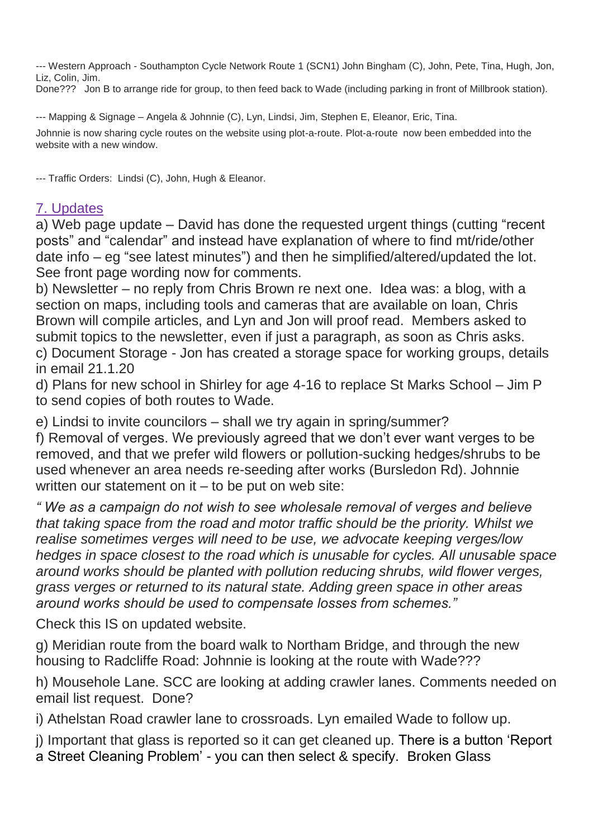--- Western Approach - Southampton Cycle Network Route 1 (SCN1) John Bingham (C), John, Pete, Tina, Hugh, Jon, Liz, Colin, Jim.

Done??? Jon B to arrange ride for group, to then feed back to Wade (including parking in front of Millbrook station).

--- Mapping & Signage – Angela & Johnnie (C), Lyn, Lindsi, Jim, Stephen E, Eleanor, Eric, Tina.

Johnnie is now sharing cycle routes on the website using plot-a-route. Plot-a-route now been embedded into the website with a new window.

--- Traffic Orders: Lindsi (C), John, Hugh & Eleanor.

# 7. Updates

a) Web page update – David has done the requested urgent things (cutting "recent posts" and "calendar" and instead have explanation of where to find mt/ride/other date info – eg "see latest minutes") and then he simplified/altered/updated the lot. See front page wording now for comments.

b) Newsletter – no reply from Chris Brown re next one. Idea was: a blog, with a section on maps, including tools and cameras that are available on loan, Chris Brown will compile articles, and Lyn and Jon will proof read. Members asked to submit topics to the newsletter, even if just a paragraph, as soon as Chris asks. c) Document Storage - Jon has created a storage space for working groups, details

in email 21.1.20

d) Plans for new school in Shirley for age 4-16 to replace St Marks School – Jim P to send copies of both routes to Wade.

e) Lindsi to invite councilors – shall we try again in spring/summer?

f) Removal of verges. We previously agreed that we don't ever want verges to be removed, and that we prefer wild flowers or pollution-sucking hedges/shrubs to be used whenever an area needs re-seeding after works (Bursledon Rd). Johnnie written our statement on  $it - to$  be put on web site:

*" We as a campaign do not wish to see wholesale removal of verges and believe that taking space from the road and motor traffic should be the priority. Whilst we realise sometimes verges will need to be use, we advocate keeping verges/low hedges in space closest to the road which is unusable for cycles. All unusable space around works should be planted with pollution reducing shrubs, wild flower verges, grass verges or returned to its natural state. Adding green space in other areas around works should be used to compensate losses from schemes."*

Check this IS on updated website.

g) Meridian route from the board walk to Northam Bridge, and through the new housing to Radcliffe Road: Johnnie is looking at the route with Wade???

h) Mousehole Lane. SCC are looking at adding crawler lanes. Comments needed on email list request. Done?

i) Athelstan Road crawler lane to crossroads. Lyn emailed Wade to follow up.

j) Important that glass is reported so it can get cleaned up. There is a button 'Report

a Street Cleaning Problem' - you can then select & specify. Broken Glass